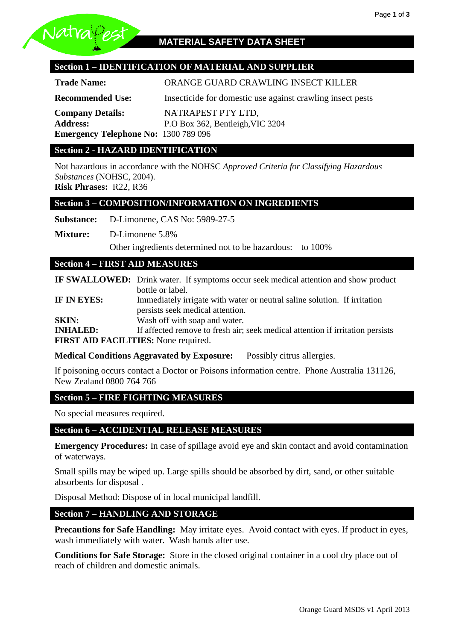

# **Section 1 – IDENTIFICATION OF MATERIAL AND SUPPLIER**

**Trade Name:** ORANGE GUARD CRAWLING INSECT KILLER

**Recommended Use:** Insecticide for domestic use against crawling insect pests

**Company Details:** NATRAPEST PTY LTD, **Address:** P.O Box 362, Bentleigh,VIC 3204 **Emergency Telephone No:** 1300 789 096

#### **Section 2 - HAZARD IDENTIFICATION**

Not hazardous in accordance with the NOHSC *Approved Criteria for Classifying Hazardous Substances* (NOHSC, 2004).

**Risk Phrases:** R22, R36

#### **Section 3 – COMPOSITION/INFORMATION ON INGREDIENTS**

**Substance:** D-Limonene, CAS No: 5989-27-5

**Mixture:** D-Limonene 5.8%

Other ingredients determined not to be hazardous: to 100%

## **Section 4 – FIRST AID MEASURES**

|                                      | <b>IF SWALLOWED:</b> Drink water. If symptoms occur seek medical attention and show product |  |  |  |
|--------------------------------------|---------------------------------------------------------------------------------------------|--|--|--|
|                                      | bottle or label.                                                                            |  |  |  |
| IF IN EYES:                          | Immediately irrigate with water or neutral saline solution. If irritation                   |  |  |  |
|                                      | persists seek medical attention.                                                            |  |  |  |
| <b>SKIN:</b>                         | Wash off with soap and water.                                                               |  |  |  |
| <b>INHALED:</b>                      | If affected remove to fresh air; seek medical attention if irritation persists              |  |  |  |
| FIRST AID FACILITIES: None required. |                                                                                             |  |  |  |

**Medical Conditions Aggravated by Exposure:** Possibly citrus allergies.

If poisoning occurs contact a Doctor or Poisons information centre. Phone Australia 131126, New Zealand 0800 764 766

## **Section 5 – FIRE FIGHTING MEASURES**

No special measures required.

#### **Section 6 – ACCIDENTIAL RELEASE MEASURES**

**Emergency Procedures:** In case of spillage avoid eye and skin contact and avoid contamination of waterways.

Small spills may be wiped up. Large spills should be absorbed by dirt, sand, or other suitable absorbents for disposal .

Disposal Method: Dispose of in local municipal landfill.

#### **Section 7 – HANDLING AND STORAGE**

**Precautions for Safe Handling:** May irritate eyes. Avoid contact with eyes. If product in eyes, wash immediately with water. Wash hands after use.

**Conditions for Safe Storage:** Store in the closed original container in a cool dry place out of reach of children and domestic animals.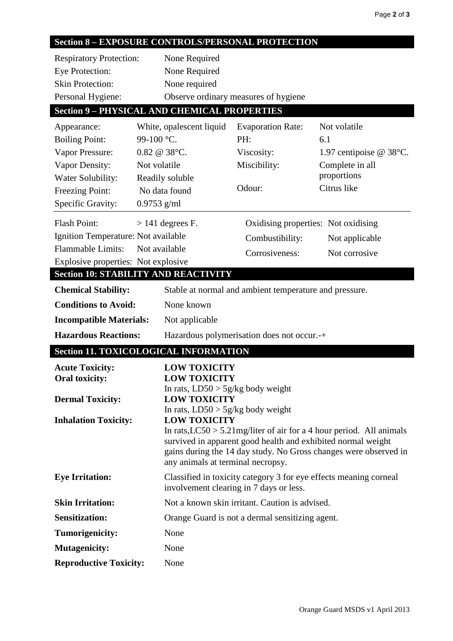# **Section 8 – EXPOSURE CONTROLS/PERSONAL PROTECTION**

| <b>Respiratory Protection:</b> | None Required                        |
|--------------------------------|--------------------------------------|
| Eye Protection:                | None Required                        |
| <b>Skin Protection:</b>        | None required                        |
| Personal Hygiene:              | Observe ordinary measures of hygiene |

# **Section 9 – PHYSICAL AND CHEMICAL PROPERTIES**

| Appearance:                         | White, opalescent liquid                                   | <b>Evaporation Rate:</b>                                                                              | Not volatile                                                            |  |  |
|-------------------------------------|------------------------------------------------------------|-------------------------------------------------------------------------------------------------------|-------------------------------------------------------------------------|--|--|
| <b>Boiling Point:</b>               | 99-100 °C.                                                 | PH:                                                                                                   | 6.1                                                                     |  |  |
| Vapor Pressure:                     | $0.82 \ @ 38^{\circ}\text{C}.$                             | Viscosity:                                                                                            | 1.97 centipoise $@38°C$ .                                               |  |  |
| Vapor Density:                      | Not volatile                                               | Miscibility:                                                                                          | Complete in all                                                         |  |  |
| Water Solubility:                   | Readily soluble                                            |                                                                                                       | proportions                                                             |  |  |
| Freezing Point:                     | No data found                                              | Odour:                                                                                                | Citrus like                                                             |  |  |
| Specific Gravity:                   | $0.9753$ g/ml                                              |                                                                                                       |                                                                         |  |  |
| <b>Flash Point:</b>                 | $> 141$ degrees F.                                         | Oxidising properties: Not oxidising                                                                   |                                                                         |  |  |
| Ignition Temperature: Not available |                                                            | Combustibility:                                                                                       | Not applicable                                                          |  |  |
| <b>Flammable Limits:</b>            | Not available                                              | Corrosiveness:                                                                                        | Not corrosive                                                           |  |  |
| Explosive properties: Not explosive |                                                            |                                                                                                       |                                                                         |  |  |
|                                     | <b>Section 10: STABILITY AND REACTIVITY</b>                |                                                                                                       |                                                                         |  |  |
| <b>Chemical Stability:</b>          |                                                            | Stable at normal and ambient temperature and pressure.                                                |                                                                         |  |  |
| <b>Conditions to Avoid:</b>         | None known                                                 |                                                                                                       |                                                                         |  |  |
| <b>Incompatible Materials:</b>      | Not applicable                                             |                                                                                                       |                                                                         |  |  |
| <b>Hazardous Reactions:</b>         |                                                            | Hazardous polymerisation does not occur.-+                                                            |                                                                         |  |  |
|                                     | <b>Section 11. TOXICOLOGICAL INFORMATION</b>               |                                                                                                       |                                                                         |  |  |
| <b>Acute Toxicity:</b>              |                                                            | <b>LOW TOXICITY</b>                                                                                   |                                                                         |  |  |
| <b>Oral toxicity:</b>               | <b>LOW TOXICITY</b>                                        |                                                                                                       |                                                                         |  |  |
|                                     | In rats, $LD50 > 5g/kg$ body weight<br><b>LOW TOXICITY</b> |                                                                                                       |                                                                         |  |  |
| <b>Dermal Toxicity:</b>             | In rats, $LD50 > 5g/kg$ body weight                        |                                                                                                       |                                                                         |  |  |
| <b>Inhalation Toxicity:</b>         |                                                            | <b>LOW TOXICITY</b>                                                                                   |                                                                         |  |  |
|                                     |                                                            |                                                                                                       | In rats, $LC50 > 5.21$ mg/liter of air for a 4 hour period. All animals |  |  |
|                                     |                                                            | survived in apparent good health and exhibited normal weight                                          |                                                                         |  |  |
|                                     |                                                            | gains during the 14 day study. No Gross changes were observed in<br>any animals at terminal necropsy. |                                                                         |  |  |
| <b>Eye Irritation:</b>              |                                                            | Classified in toxicity category 3 for eye effects meaning corneal                                     |                                                                         |  |  |
|                                     |                                                            | involvement clearing in 7 days or less.                                                               |                                                                         |  |  |
| <b>Skin Irritation:</b>             |                                                            | Not a known skin irritant. Caution is advised.                                                        |                                                                         |  |  |
| <b>Sensitization:</b>               |                                                            | Orange Guard is not a dermal sensitizing agent.                                                       |                                                                         |  |  |
| Tumorigenicity:                     | None                                                       |                                                                                                       |                                                                         |  |  |
| <b>Mutagenicity:</b>                |                                                            |                                                                                                       |                                                                         |  |  |
|                                     | None                                                       |                                                                                                       |                                                                         |  |  |